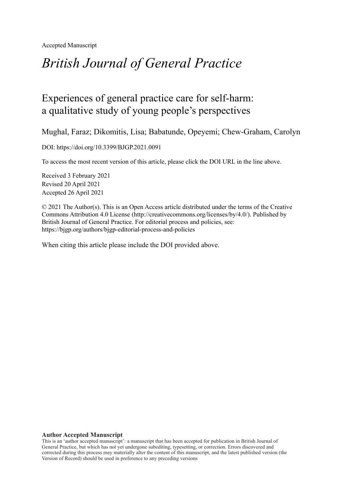Accepted Manuscript

# *British Journal of General Practice*

# Experiences of general practice care for self-harm: a qualitative study of young people's perspectives

Mughal, Faraz; Dikomitis, Lisa; Babatunde, Opeyemi; Chew-Graham, Carolyn

DOI: https://doi.org/10.3399/BJGP.2021.0091

To access the most recent version of this article, please click the DOI URL in the line above.

Received 3 February 2021 Revised 20 April 2021 Accepted 26 April 2021

© 2021 The Author(s). This is an Open Access article distributed under the terms of the Creative Commons Attribution 4.0 License (http://creativecommons.org/licenses/by/4.0/). Published by British Journal of General Practice. For editorial process and policies, see: https://bjgp.org/authors/bjgp-editorial-process-and-policies

When citing this article please include the DOI provided above.

#### **Author Accepted Manuscript**

This is an 'author accepted manuscript': a manuscript that has been accepted for publication in British Journal of General Practice, but which has not yet undergone subediting, typesetting, or correction. Errors discovered and corrected during this process may materially alter the content of this manuscript, and the latest published version (the Version of Record) should be used in preference to any preceding versions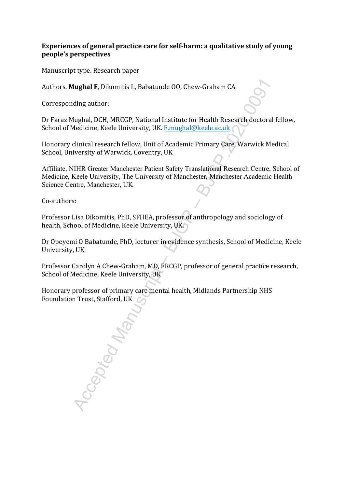# **Experiences of general practice care for self-harm: a qualitative study of young people's perspectives**

Manuscript type. Research paper

Authors. **Mughal F**, Dikomitis L, Babatunde OO, Chew-Graham CA

Corresponding author:

Dr Faraz Mughal, DCH, MRCGP, National Institute for Health Research doctoral fellow, School of Medicine, Keele University, UK. F.mughal@keele.ac.uk

Honorary clinical research fellow, Unit of Academic Primary Care, Warwick Medical School, University of Warwick, Coventry, UK

Affiliate, NIHR Greater Manchester Patient Safety Translational Research Centre, School of Medicine, Keele University, The University of Manchester, Manchester Academic Health Science Centre, Manchester, UK

Co-authors:

Professor Lisa Dikomitis, PhD, SFHEA, professor of anthropology and sociology of health, School of Medicine, Keele University, UK.

Dr Opeyemi O Babatunde, PhD, lecturer in evidence synthesis, School of Medicine, Keele University, UK.

Professor Carolyn A Chew-Graham, MD, FRCGP, professor of general practice research, School of Medicine, Keele University, UK

Honorary professor of primary care mental health, Midlands Partnership NHS Foundation Trust, Stafford, UK

**Tughal F,** Dikomitis L, Babatunde 00, Chew-Graham CA<br>
ding author:<br>
Mughal, DCH, MRCGP, National Institute for Health Research doctoral federicine, Keele University, UK. Emughal@keele.ac.uk<br>
clinical research fellow, Unit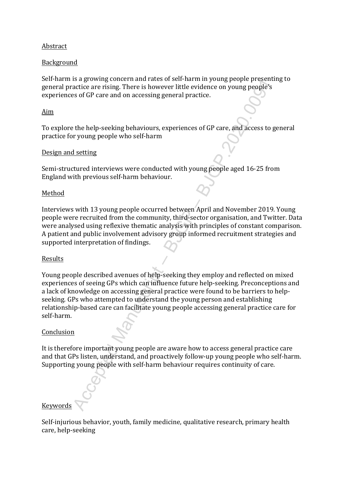# Abstract

# Background

Self-harm is a growing concern and rates of self-harm in young people presenting to general practice are rising. There is however little evidence on young people's experiences of GP care and on accessing general practice.

#### Aim

To explore the help-seeking behaviours, experiences of GP care, and access to general practice for young people who self-harm

#### Design and setting

Semi-structured interviews were conducted with young people aged 16-25 from England with previous self-harm behaviour.

#### Method

Interviews with 13 young people occurred between April and November 2019. Young people were recruited from the community, third-sector organisation, and Twitter. Data were analysed using reflexive thematic analysis with principles of constant comparison. A patient and public involvement advisory group informed recruitment strategies and supported interpretation of findings.

# Results

So a growing concurrent ateas of series and the solution of the proportional and the solution and the solution and the solution of the help-seeking behaviours, experiences of GP care, and access to get young people's so of Young people described avenues of help-seeking they employ and reflected on mixed experiences of seeing GPs which can influence future help-seeking. Preconceptions and a lack of knowledge on accessing general practice were found to be barriers to helpseeking. GPs who attempted to understand the young person and establishing relationship-based care can facilitate young people accessing general practice care for self-harm.

#### Conclusion

It is therefore important young people are aware how to access general practice care and that GPs listen, understand, and proactively follow-up young people who self-harm. Supporting young people with self-harm behaviour requires continuity of care.

# Keywords

Self-injurious behavior, youth, family medicine, qualitative research, primary health care, help-seeking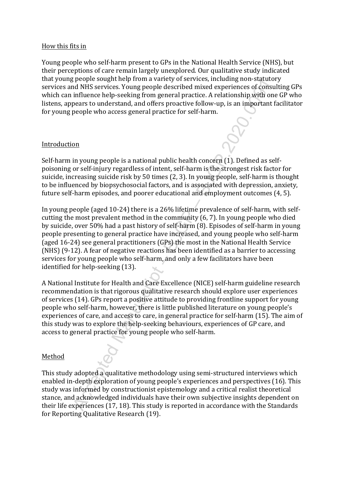#### How this fits in

Young people who self-harm present to GPs in the National Health Service (NHS), but their perceptions of care remain largely unexplored. Our qualitative study indicated that young people sought help from a variety of services, including non-statutory services and NHS services. Young people described mixed experiences of consulting GPs which can influence help-seeking from general practice. A relationship with one GP who listens, appears to understand, and offers proactive follow-up, is an important facilitator for young people who access general practice for self-harm.

# Introduction

Self-harm in young people is a national public health concern (1). Defined as selfpoisoning or self-injury regardless of intent, self-harm is the strongest risk factor for suicide, increasing suicide risk by 50 times (2, 3). In young people, self-harm is thought to be influenced by biopsychosocial factors, and is associated with depression, anxiety, future self-harm episodes, and poorer educational and employment outcomes (4, 5).

For polytom and variable of the section of variables and a station of the services. Young people described mixed experiences of consultable MHS services. Young people described mixed experiences of consultable prosections In young people (aged 10-24) there is a 26% lifetime prevalence of self-harm, with selfcutting the most prevalent method in the community (6, 7). In young people who died by suicide, over 50% had a past history of self-harm (8). Episodes of self-harm in young people presenting to general practice have increased, and young people who self-harm (aged 16-24) see general practitioners (GPs) the most in the National Health Service (NHS) (9-12). A fear of negative reactions has been identified as a barrier to accessing services for young people who self-harm, and only a few facilitators have been identified for help-seeking (13).

A National Institute for Health and Care Excellence (NICE) self-harm guideline research recommendation is that rigorous qualitative research should explore user experiences of services (14). GPs report a positive attitude to providing frontline support for young people who self-harm, however, there is little published literature on young people's experiences of care, and access to care, in general practice for self-harm (15). The aim of this study was to explore the help-seeking behaviours, experiences of GP care, and access to general practice for young people who self-harm.

# Method

This study adopted a qualitative methodology using semi-structured interviews which enabled in-depth exploration of young people's experiences and perspectives (16). This study was informed by constructionist epistemology and a critical realist theoretical stance, and acknowledged individuals have their own subjective insights dependent on their life experiences (17, 18). This study is reported in accordance with the Standards for Reporting Qualitative Research (19).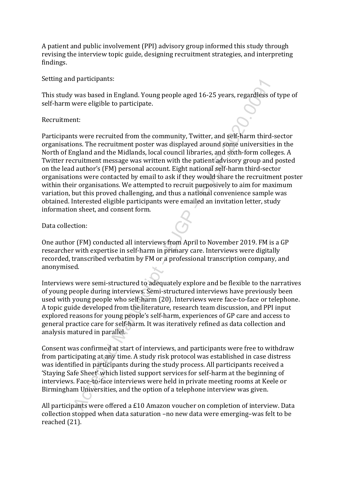A patient and public involvement (PPI) advisory group informed this study through revising the interview topic guide, designing recruitment strategies, and interpreting findings.

Setting and participants:

This study was based in England. Young people aged 16-25 years, regardless of type of self-harm were eligible to participate.

# Recruitment:

van based in England. Young people aged 16-25 years, regardtess of<br>were eligible to participate.<br>Since were eligible to participate.<br>The swere eligible to participate.<br>The swere eligible to participate.<br>The simulant of con Participants were recruited from the community, Twitter, and self-harm third-sector organisations. The recruitment poster was displayed around some universities in the North of England and the Midlands, local council libraries, and sixth-form colleges. A Twitter recruitment message was written with the patient advisory group and posted on the lead author's (FM) personal account. Eight national self-harm third-sector organisations were contacted by email to ask if they would share the recruitment poster within their organisations. We attempted to recruit purposively to aim for maximum variation, but this proved challenging, and thus a national convenience sample was obtained. Interested eligible participants were emailed an invitation letter, study information sheet, and consent form.

Data collection:

One author (FM) conducted all interviews from April to November 2019. FM is a GP researcher with expertise in self-harm in primary care. Interviews were digitally recorded, transcribed verbatim by FM or a professional transcription company, and anonymised.

Interviews were semi-structured to adequately explore and be flexible to the narratives of young people during interviews. Semi-structured interviews have previously been used with young people who self-harm (20). Interviews were face-to-face or telephone. A topic guide developed from the literature, research team discussion, and PPI input explored reasons for young people's self-harm, experiences of GP care and access to general practice care for self-harm. It was iteratively refined as data collection and analysis matured in parallel.

Consent was confirmed at start of interviews, and participants were free to withdraw from participating at any time. A study risk protocol was established in case distress was identified in participants during the study process. All participants received a 'Staying Safe Sheet' which listed support services for self-harm at the beginning of interviews. Face-to-face interviews were held in private meeting rooms at Keele or Birmingham Universities, and the option of a telephone interview was given.

All participants were offered a £10 Amazon voucher on completion of interview. Data collection stopped when data saturation –no new data were emerging–was felt to be reached (21).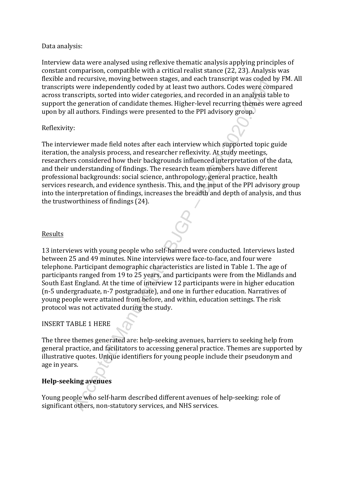#### Data analysis:

Interview data were analysed using reflexive thematic analysis applying principles of constant comparison, compatible with a critical realist stance (22, 23). Analysis was flexible and recursive, moving between stages, and each transcript was coded by FM. All transcripts were independently coded by at least two authors. Codes were compared across transcripts, sorted into wider categories, and recorded in an analysis table to support the generation of candidate themes. Higher-level recurring themes were agreed upon by all authors. Findings were presented to the PPI advisory group.

# Reflexivity:

In centario, moving ocerwich stages, and each variation to the control of the control of the stage of the generation of candidate themes. Higher-level recurring themes were impegned in the outlined themes. Higher-level rec The interviewer made field notes after each interview which supported topic guide iteration, the analysis process, and researcher reflexivity. At study meetings, researchers considered how their backgrounds influenced interpretation of the data, and their understanding of findings. The research team members have different professional backgrounds: social science, anthropology, general practice, health services research, and evidence synthesis. This, and the input of the PPI advisory group into the interpretation of findings, increases the breadth and depth of analysis, and thus the trustworthiness of findings (24).

# **Results**

13 interviews with young people who self-harmed were conducted. Interviews lasted between 25 and 49 minutes. Nine interviews were face-to-face, and four were telephone. Participant demographic characteristics are listed in Table 1. The age of participants ranged from 19 to 25 years, and participants were from the Midlands and South East England. At the time of interview 12 participants were in higher education (n-5 undergraduate, n-7 postgraduate), and one in further education. Narratives of young people were attained from before, and within, education settings. The risk protocol was not activated during the study.

# INSERT TABLE 1 HERE

The three themes generated are: help-seeking avenues, barriers to seeking help from general practice, and facilitators to accessing general practice. Themes are supported by illustrative quotes. Unique identifiers for young people include their pseudonym and age in years.

# **Help-seeking avenues**

Young people who self-harm described different avenues of help-seeking: role of significant others, non-statutory services, and NHS services.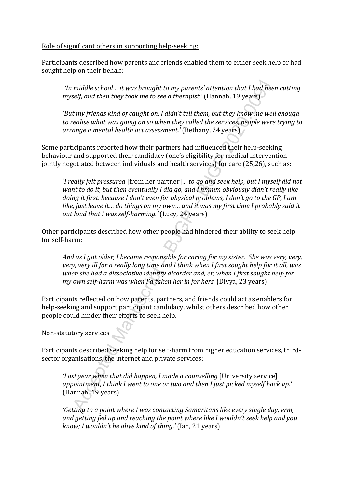Role of significant others in supporting help-seeking:

Participants described how parents and friends enabled them to either seek help or had sought help on their behalf:

*'In middle school… it was brought to my parents' attention that I had been cutting myself, and then they took me to see a therapist.'* (Hannah, 19 years)

*'But my friends kind of caught on, I didn't tell them, but they know me well enough to realise what was going on so when they called the services, people were trying to arrange a mental health act assessment.'* (Bethany, 24 years)

Some participants reported how their partners had influenced their help-seeking behaviour and supported their candidacy (one's eligibility for medical intervention jointly negotiated between individuals and health services) for care (25,26), such as:

middle school... it was brought to my parents' attention that I had been<br>elf, and then they took me to see a therapist.' (Hannah, 19 years)<br>If thy friends kind of caught on, I didn't tell them, but they know me well<br>ealis '*I really felt pressured* [from her partner]*… to go and seek help, but I myself did not want to do it, but then eventually I did go, and I hmmm obviously didn't really like doing it first, because I don't even for physical problems, I don't go to the GP, I am like, just leave it… do things on my own… and it was my first time I probably said it out loud that I was self-harming.'* (Lucy, 24 years)

Other participants described how other people had hindered their ability to seek help for self-harm:

*And as I got older, I became responsible for caring for my sister. She was very, very, very, very ill for a really long time and I think when I first sought help for it all, was when she had a dissociative identity disorder and, er, when I first sought help for my own self-harm was when I'd taken her in for hers.* (Divya, 23 years)

Participants reflected on how parents, partners, and friends could act as enablers for help-seeking and support participant candidacy, whilst others described how other people could hinder their efforts to seek help.

Non-statutory services

Participants described seeking help for self-harm from higher education services, thirdsector organisations, the internet and private services:

*'Last year when that did happen, I made a counselling* [University service] *appointment, I think I went to one or two and then I just picked myself back up.'* (Hannah, 19 years)

*'Getting to a point where I was contacting Samaritans like every single day, erm, and getting fed up and reaching the point where like I wouldn't seek help and you know; I wouldn't be alive kind of thing.'* (Ian, 21 years)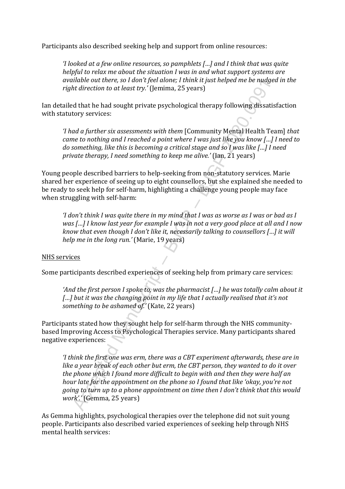Participants also described seeking help and support from online resources:

*'I looked at a few online resources, so pamphlets […] and I think that was quite helpful to relax me about the situation I was in and what support systems are available out there, so I don't feel alone; I think it just helped me be nudged in the right direction to at least try.'* (Jemima, 25 years)

Ian detailed that he had sought private psychological therapy following dissatisfaction with statutory services:

*'I had a further six assessments with them* [Community Mental Health Team] *that came to nothing and I reached a point where I was just like you know […] I need to do something, like this is becoming a critical stage and so I was like […] I need private therapy, I need something to keep me alive.'* (Ian, 21 years)

Young people described barriers to help-seeking from non-statutory services. Marie shared her experience of seeing up to eight counsellors, but she explained she needed to be ready to seek help for self-harm, highlighting a challenge young people may face when struggling with self-harm:

*'I don't think I was quite there in my mind that I was as worse as I was or bad as I was […] I know last year for example I was in not a very good place at all and I now know that even though I don't like it, necessarily talking to counsellors […] it will help me in the long run.'* (Marie, 19 years)

#### NHS services

Some participants described experiences of seeking help from primary care services:

*'And the first person I spoke to, was the pharmacist […] he was totally calm about it*  [...] but it was the changing point in my life that I actually realised that it's not *something to be ashamed of.'* (Kate, 22 years)

Participants stated how they sought help for self-harm through the NHS communitybased Improving Access to Psychological Therapies service. Many participants shared negative experiences:

and the discretic sort of peer uother (and the plast neepear me be nuage.<br>In the direction to at least try.' (Jemima, 25 years)<br>and that the bad sought private psychological therapy following dissatist<br>or direction to at l *'I think the first one was erm, there was a CBT experiment afterwards, these are in like a year break of each other but erm, the CBT person, they wanted to do it over the phone which I found more difficult to begin with and then they were half an hour late for the appointment on the phone so I found that like 'okay, you're not going to turn up to a phone appointment on time then I don't think that this would work'.'* (Gemma, 25 years)

As Gemma highlights, psychological therapies over the telephone did not suit young people. Participants also described varied experiences of seeking help through NHS mental health services: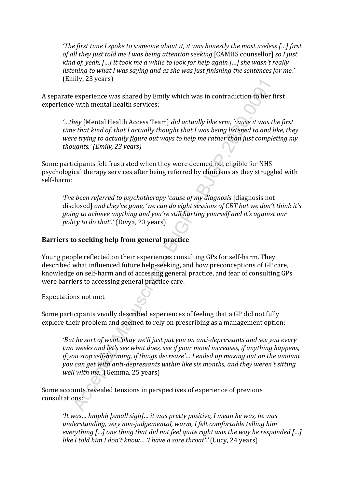*'The first time I spoke to someone about it, it was honestly the most useless […] first of all they just told me I was being attention seeking* [CAMHS counsellor] *so I just kind of, yeah, […] it took me a while to look for help again […] she wasn't really listening to what I was saying and as she was just finishing the sentences for me.'*  (Emily, 23 years)

A separate experience was shared by Emily which was in contradiction to her first experience with mental health services:

*'…they* [Mental Health Access Team] *did actually like erm, 'cause it was the first time that kind of, that I actually thought that I was being listened to and like, they were trying to actually figure out ways to help me rather than just completing my thoughts.' (Emily, 23 years)*

Some participants felt frustrated when they were deemed not eligible for NHS psychological therapy services after being referred by clinicians as they struggled with self-harm:

*'I've been referred to psychotherapy 'cause of my diagnosis* [diagnosis not disclosed] *and they've gone, 'we can do eight sessions of CBT but we don't think it's going to achieve anything and you're still hurting yourself and it's against our policy to do that'.'* (Divya, 23 years)

#### **Barriers to seeking help from general practice**

Young people reflected on their experiences consulting GPs for self-harm. They described what influenced future help-seeking, and how preconceptions of GP care, knowledge on self-harm and of accessing general practice, and fear of consulting GPs were barriers to accessing general practice care.

Expectations not met

Some participants vividly described experiences of feeling that a GP did not fully explore their problem and seemed to rely on prescribing as a management option:

my, es years)<br>
exprehence was shared by Emily which was in contradiction to her fi<br>
e with mental health services:<br>
they [Mental Health Access Team] did actually like erm, 'cause it was the<br>
the that kind of, that I actual *'But he sort of went 'okay we'll just put you on anti-depressants and see you every two weeks and let's see what does, see if your mood increases, if anything happens, if you stop self-harming, if things decrease'… I ended up maxing out on the amount you can get with anti-depressants within like six months, and they weren't sitting well with me.'* (Gemma, 25 years)

Some accounts revealed tensions in perspectives of experience of previous consultations:

*'It was… hmphh [small sigh]… it was pretty positive, I mean he was, he was understanding, very non-judgemental, warm, I felt comfortable telling him everything […] one thing that did not feel quite right was the way he responded […] like I told him I don't know… 'I have a sore throat'.'* (Lucy, 24 years)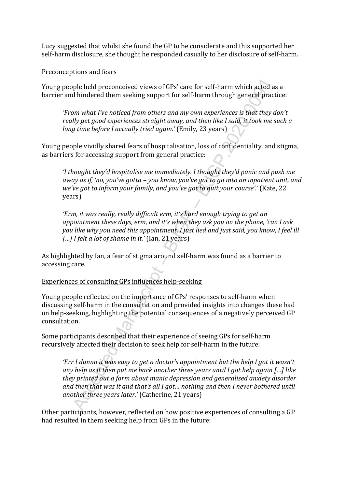Lucy suggested that whilst she found the GP to be considerate and this supported her self-harm disclosure, she thought he responded casually to her disclosure of self-harm.

#### Preconceptions and fears

Young people held preconceived views of GPs' care for self-harm which acted as a barrier and hindered them seeking support for self-harm through general practice:

*'From what I've noticed from others and my own experiences is that they don't really get good experiences straight away, and then like I said, it took me such a long time before I actually tried again.'* (Emily, 23 years)

Young people vividly shared fears of hospitalisation, loss of confidentiality, and stigma, as barriers for accessing support from general practice:

*'I thought they'd hospitalise me immediately. I thought they'd panic and push me away as if, 'no, you've gotta – you know, you've got to go into an inpatient unit, and we've got to inform your family, and you've got to quit your course'.'* (Kate, 22 years)

*'Erm, it was really, really difficult erm, it's hard enough trying to get an appointment these days, erm, and it's when they ask you on the phone, 'can I ask you like why you need this appointment, I just lied and just said, you know, I feel ill […] I felt a lot of shame in it.'* (Ian, 21 years)

As highlighted by Ian, a fear of stigma around self-harm was found as a barrier to accessing care.

Experiences of consulting GPs influences help-seeking

Young people reflected on the importance of GPs' responses to self-harm when discussing self-harm in the consultation and provided insights into changes these had on help-seeking, highlighting the potential consequences of a negatively perceived GP consultation.

Some participants described that their experience of seeing GPs for self-harm recursively affected their decision to seek help for self-harm in the future:

ple held preconceived views of GPs' care for self-harm which acted as<br>
hindered them seeking support for self-harm through general pract<br>
mwhat I've noticed from others and my own experiences is that they d<br>
by get good ex *'Err I dunno it was easy to get a doctor's appointment but the help I got it wasn't any help as it then put me back another three years until I got help again […] like they printed out a form about manic depression and generalised anxiety disorder and then that was it and that's all I got… nothing and then I never bothered until another three years later.'* (Catherine, 21 years)

Other participants, however, reflected on how positive experiences of consulting a GP had resulted in them seeking help from GPs in the future: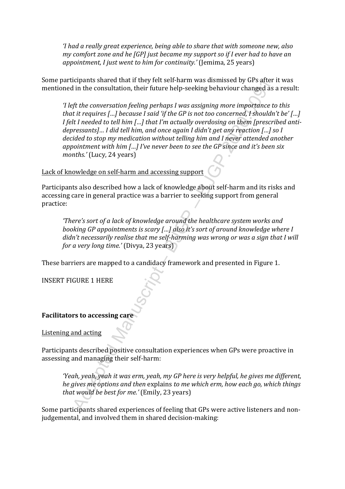*'I had a really great experience, being able to share that with someone new, also my comfort zone and he [GP] just became my support so if I ever had to have an appointment, I just went to him for continuity.'* (Jemima, 25 years)

Some participants shared that if they felt self-harm was dismissed by GPs after it was mentioned in the consultation, their future help-seeking behaviour changed as a result:

icly and state utak at they iclusted and the propositions state and the distinguists and the consultation, their future help-seeking behaviour changed as a fit the conversation feeling perhaps I was assigning more importan *'I left the conversation feeling perhaps I was assigning more importance to this that it requires […] because I said 'if the GP is not too concerned, I shouldn't be' […] I felt I needed to tell him […] that I'm actually overdosing on them [prescribed antidepressants]… I did tell him, and once again I didn't get any reaction […] so I decided to stop my medication without telling him and I never attended another appointment with him […] I've never been to see the GP since and it's been six months.'* (Lucy, 24 years)

# Lack of knowledge on self-harm and accessing support

Participants also described how a lack of knowledge about self-harm and its risks and accessing care in general practice was a barrier to seeking support from general practice:

*'There's sort of a lack of knowledge around the healthcare system works and booking GP appointments is scary […] also it's sort of around knowledge where I didn't necessarily realise that me self-harming was wrong or was a sign that I will for a very long time.'* (Divya, 23 years)

These barriers are mapped to a candidacy framework and presented in Figure 1.

INSERT FIGURE 1 HERE

#### **Facilitators to accessing care**

Listening and acting

Participants described positive consultation experiences when GPs were proactive in assessing and managing their self-harm:

*'Yeah, yeah, yeah it was erm, yeah, my GP here is very helpful, he gives me different, he gives me options and then* explains *to me which erm, how each go, which things that would be best for me.'* (Emily, 23 years)

Some participants shared experiences of feeling that GPs were active listeners and nonjudgemental, and involved them in shared decision-making: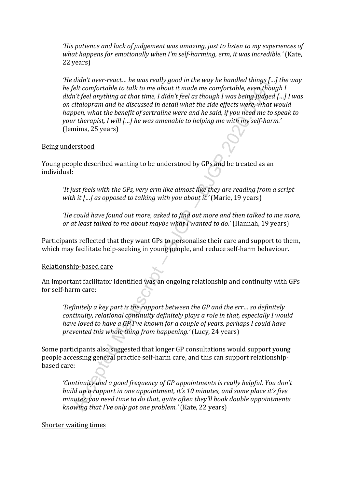*'His patience and lack of judgement was amazing, just to listen to my experiences of*  what happens for emotionally when I'm self-harming, erm, it was incredible.' (Kate, 22 years)

utual voer-retuct... he was retuy you in the way he number utualy  $1...$ <br>tell comfortable to talk to me about it made me comfortable, even thought<br>for the anything at that time, I diah feel as though I was being Judged<br>plat *'He didn't over-react… he was really good in the way he handled things […] the way he felt comfortable to talk to me about it made me comfortable, even though I didn't feel anything at that time, I didn't feel as though I was being judged […] I was on citalopram and he discussed in detail what the side effects were, what would happen, what the benefit of sertraline were and he said, if you need me to speak to your therapist, I will […] he was amenable to helping me with my self-harm.'* (Jemima, 25 years)

# Being understood

Young people described wanting to be understood by GPs and be treated as an individual:

*'It just feels with the GPs, very erm like almost like they are reading from a script with it […] as opposed to talking with you about it.'* (Marie, 19 years)

*'He could have found out more, asked to find out more and then talked to me more, or at least talked to me about maybe what I wanted to do.'* (Hannah, 19 years)

Participants reflected that they want GPs to personalise their care and support to them, which may facilitate help-seeking in young people, and reduce self-harm behaviour.

# Relationship-based care

An important facilitator identified was an ongoing relationship and continuity with GPs for self-harm care:

*'Definitely a key part is the rapport between the GP and the err… so definitely continuity, relational continuity definitely plays a role in that, especially I would have loved to have a GP I've known for a couple of years, perhaps I could have prevented this whole thing from happening.'* (Lucy, 24 years)

Some participants also suggested that longer GP consultations would support young people accessing general practice self-harm care, and this can support relationshipbased care:

*'Continuity and a good frequency of GP appointments is really helpful. You don't build up a rapport in one appointment, it's 10 minutes, and some place it's five minutes, you need time to do that, quite often they'll book double appointments knowing that I've only got one problem.'* (Kate, 22 years)

#### Shorter waiting times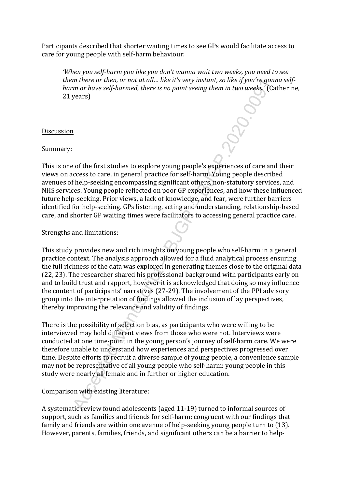Participants described that shorter waiting times to see GPs would facilitate access to care for young people with self-harm behaviour:

*'When you self-harm you like you don't wanna wait two weeks, you need to see them there or then, or not at all… like it's very instant, so like if you're gonna selfharm or have self-harmed, there is no point seeing them in two weeks.'* (Catherine, 21 years)

#### Discussion

Summary:

This is one of the first studies to explore young people's experiences of care and their views on access to care, in general practice for self-harm. Young people described avenues of help-seeking encompassing significant others, non-statutory services, and NHS services. Young people reflected on poor GP experiences, and how these influenced future help-seeking. Prior views, a lack of knowledge, and fear, were further barriers identified for help-seeking. GPs listening, acting and understanding, relationship-based care, and shorter GP waiting times were facilitators to accessing general practice care.

Strengths and limitations:

muere to meth, or not during may instant, so the g your eggoth is more to meth, or not a cell. There is no point seeing them in two weeks. (Camp to the going experiences of care and cost of the first studies to explore you This study provides new and rich insights on young people who self-harm in a general practice context. The analysis approach allowed for a fluid analytical process ensuring the full richness of the data was explored in generating themes close to the original data (22, 23). The researcher shared his professional background with participants early on and to build trust and rapport, however it is acknowledged that doing so may influence the content of participants' narratives (27-29). The involvement of the PPI advisory group into the interpretation of findings allowed the inclusion of lay perspectives, thereby improving the relevance and validity of findings.

There is the possibility of selection bias, as participants who were willing to be interviewed may hold different views from those who were not. Interviews were conducted at one time-point in the young person's journey of self-harm care. We were therefore unable to understand how experiences and perspectives progressed over time. Despite efforts to recruit a diverse sample of young people, a convenience sample may not be representative of all young people who self-harm: young people in this study were nearly all female and in further or higher education.

Comparison with existing literature:

A systematic review found adolescents (aged 11-19) turned to informal sources of support, such as families and friends for self-harm; congruent with our findings that family and friends are within one avenue of help-seeking young people turn to (13). However, parents, families, friends, and significant others can be a barrier to help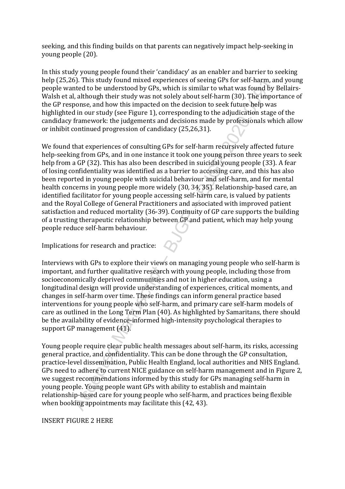seeking, and this finding builds on that parents can negatively impact help-seeking in young people (20).

In this study young people found their 'candidacy' as an enabler and barrier to seeking help (25,26). This study found mixed experiences of seeing GPs for self-harm, and young people wanted to be understood by GPs, which is similar to what was found by Bellairs-Walsh et al, although their study was not solely about self-harm (30). The importance of the GP response, and how this impacted on the decision to seek future help was highlighted in our study (see Figure 1), corresponding to the adjudication stage of the candidacy framework: the judgements and decisions made by professionals which allow or inhibit continued progression of candidacy (25,26,31).

of. Inis stouy toutual mixed experientes of securing versions (and the comparities) and the the understood by GPs, which is similar to what was found by ly<br>the the to be understood by GPs, which is similar to what was foun We found that experiences of consulting GPs for self-harm recursively affected future help-seeking from GPs, and in one instance it took one young person three years to seek help from a GP (32). This has also been described in suicidal young people (33). A fear of losing confidentiality was identified as a barrier to accessing care, and this has also been reported in young people with suicidal behaviour and self-harm, and for mental health concerns in young people more widely (30, 34, 35). Relationship-based care, an identified facilitator for young people accessing self-harm care, is valued by patients and the Royal College of General Practitioners and associated with improved patient satisfaction and reduced mortality (36-39). Continuity of GP care supports the building of a trusting therapeutic relationship between GP and patient, which may help young people reduce self-harm behaviour.

Implications for research and practice:

Interviews with GPs to explore their views on managing young people who self-harm is important, and further qualitative research with young people, including those from socioeconomically deprived communities and not in higher education, using a longitudinal design will provide understanding of experiences, critical moments, and changes in self-harm over time. These findings can inform general practice based interventions for young people who self-harm, and primary care self-harm models of care as outlined in the Long Term Plan (40). As highlighted by Samaritans, there should be the availability of evidence-informed high-intensity psychological therapies to support GP management (41).

Young people require clear public health messages about self-harm, its risks, accessing general practice, and confidentiality. This can be done through the GP consultation, practice-level dissemination, Public Health England, local authorities and NHS England. GPs need to adhere to current NICE guidance on self-harm management and in Figure 2, we suggest recommendations informed by this study for GPs managing self-harm in young people. Young people want GPs with ability to establish and maintain relationship-based care for young people who self-harm, and practices being flexible when booking appointments may facilitate this (42, 43).

INSERT FIGURE 2 HERE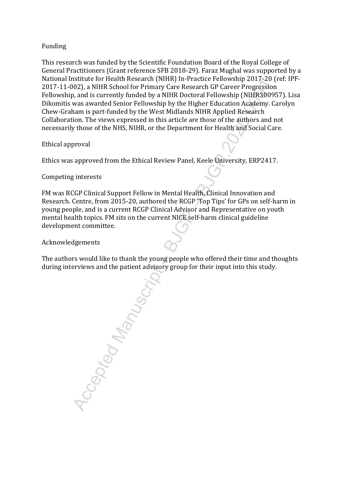# Funding

This research was funded by the Scientific Foundation Board of the Royal College of General Practitioners (Grant reference SFB 2018-29). Faraz Mughal was supported by a National Institute for Health Research (NIHR) In-Practice Fellowship 2017-20 (ref: IPF-2017-11-002), a NIHR School for Primary Care Research GP Career Progression Fellowship, and is currently funded by a NIHR Doctoral Fellowship (NIHR300957). Lisa Dikomitis was awarded Senior Fellowship by the Higher Education Academy. Carolyn Chew-Graham is part-funded by the West Midlands NIHR Applied Research Collaboration. The views expressed in this article are those of the authors and not necessarily those of the NHS, NIHR, or the Department for Health and Social Care.

Ethical approval

Ethics was approved from the Ethical Review Panel, Keele University, ERP2417.

Competing interests

FM was RCGP Clinical Support Fellow in Mental Health, Clinical Innovation and Research. Centre, from 2015-20, authored the RCGP 'Top Tips' for GPs on self-harm in young people, and is a current RCGP Clinical Advisor and Representative on youth mental health topics. FM sits on the current NICE self-harm clinical guideline development committee.

Acknowledgements

The authors would like to thank the young people who offered their time and thoughts during interviews and the patient advisory group for their input into this study.

Accepted Manuscript – BJGP – BJGP.2020.0091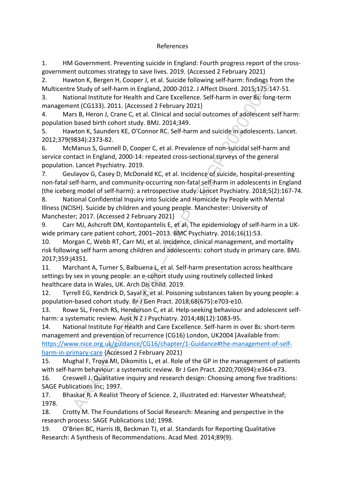#### References

1. HM Government. Preventing suicide in England: Fourth progress report of the crossgovernment outcomes strategy to save lives. 2019. {Accessed 2 February 2021}

2. Hawton K, Bergen H, Cooper J, et al. Suicide following self-harm: findings from the Multicentre Study of self-harm in England, 2000-2012. J Affect Disord. 2015;175:147-51.

3. National Institute for Health and Care Excellence. Self-harm in over 8s: long-term management (CG133). 2011. {Accessed 2 February 2021}

4. Mars B, Heron J, Crane C, et al. Clinical and social outcomes of adolescent self harm: population based birth cohort study. BMJ. 2014;349.

5. Hawton K, Saunders KE, O'Connor RC. Self-harm and suicide in adolescents. Lancet. 2012;379(9834):2373-82.

6. McManus S, Gunnell D, Cooper C, et al. Prevalence of non-suicidal self-harm and service contact in England, 2000-14: repeated cross-sectional surveys of the general population. Lancet Psychiatry. 2019.

7. Geulayov G, Casey D, McDonald KC, et al. Incidence of suicide, hospital-presenting non-fatal self-harm, and community-occurring non-fatal self-harm in adolescents in England (the iceberg model of self-harm): a retrospective study. Lancet Psychiatry. 2018;5(2):167-74.

8. National Confidential Inquiry into Suicide and Homicide by People with Mental Illness (NCISH). Suicide by children and young people. Manchester: University of Manchester; 2017. {Accessed 2 February 2021}

9. Carr MJ, Ashcroft DM, Kontopantelis E, et al. The epidemiology of self-harm in a UKwide primary care patient cohort, 2001–2013. BMC Psychiatry. 2016;16(1):53.

10. Morgan C, Webb RT, Carr MJ, et al. Incidence, clinical management, and mortality risk following self harm among children and adolescents: cohort study in primary care. BMJ. 2017;359:j4351.

11. Marchant A, Turner S, Balbuena L, et al. Self-harm presentation across healthcare settings by sex in young people: an e-cohort study using routinely collected linked healthcare data in Wales, UK. Arch Dis Child. 2019.

12. Tyrrell EG, Kendrick D, Sayal K, et al. Poisoning substances taken by young people: a population-based cohort study. Br J Gen Pract. 2018;68(675):e703-e10.

13. Rowe SL, French RS, Henderson C, et al. Help-seeking behaviour and adolescent selfharm: a systematic review. Aust N Z J Psychiatry. 2014;48(12):1083-95.

Won K, sergen H, Cooper J, et al. Suicide noilwowing sell-harmin: inninglan reading to the study of self-harm in England, 2000-2012. J Affect Disord. 2015;175:14<br>cional Institute for Health and Care Excellence. Self-harm i 14. National Institute For Health and Care Excellence. Self-harm in over 8s: short-term management and prevention of recurrence (CG16) London, UK2004 [Available from: [https://www.nice.org.uk/guidance/CG16/chapter/1-Guidance#the-management-of-self](https://www.nice.org.uk/guidance/CG16/chapter/1-Guidance#the-management-of-self-harm-in-primary-care)[harm-in-primary-care](https://www.nice.org.uk/guidance/CG16/chapter/1-Guidance#the-management-of-self-harm-in-primary-care) {Accessed 2 February 2021}

15. Mughal F, Troya MI, Dikomitis L, et al. Role of the GP in the management of patients with self-harm behaviour: a systematic review. Br J Gen Pract. 2020;70(694):e364-e73.

16. Creswell J. Qualitative inquiry and research design: Choosing among five traditions: SAGE Publications Inc; 1997.

17. Bhaskar R. A Realist Theory of Science. 2, illustrated ed: Harvester Wheatsheaf; 1978.

18. Crotty M. The Foundations of Social Research: Meaning and perspective in the research process: SAGE Publications Ltd; 1998.

19. O'Brien BC, Harris IB, Beckman TJ, et al. Standards for Reporting Qualitative Research: A Synthesis of Recommendations. Acad Med. 2014;89(9).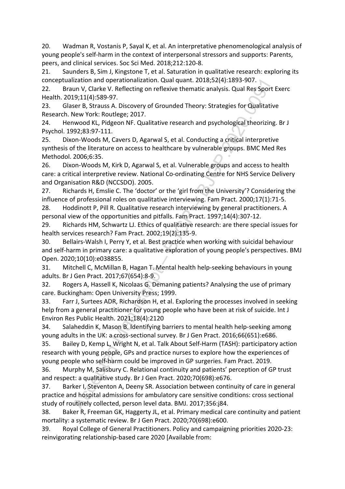20. Wadman R, Vostanis P, Sayal K, et al. An interpretative phenomenological analysis of young people's self-harm in the context of interpersonal stressors and supports: Parents, peers, and clinical services. Soc Sci Med. 2018;212:120-8.

21. Saunders B, Sim J, Kingstone T, et al. Saturation in qualitative research: exploring its conceptualization and operationalization. Qual quant. 2018;52(4):1893-907.

22. Braun V, Clarke V. Reflecting on reflexive thematic analysis. Qual Res Sport Exerc Health. 2019;11(4):589-97.

23. Glaser B, Strauss A. Discovery of Grounded Theory: Strategies for Qualitative Research. New York: Routlege; 2017.

24. Henwood KL, Pidgeon NF. Qualitative research and psychological theorizing. Br J Psychol. 1992;83:97-111.

25. Dixon-Woods M, Cavers D, Agarwal S, et al. Conducting a critical interpretive synthesis of the literature on access to healthcare by vulnerable groups. BMC Med Res Methodol. 2006;6:35.

26. Dixon-Woods M, Kirk D, Agarwal S, et al. Vulnerable groups and access to health care: a critical interpretive review. National Co-ordinating Centre for NHS Service Delivery and Organisation R&D (NCCSDO). 2005.

27. Richards H, Emslie C. The 'doctor' or the 'girl from the University'? Considering the influence of professional roles on qualitative interviewing. Fam Pract. 2000;17(1):71-5.

28. Hoddinott P, Pill R. Qualitative research interviewing by general practitioners. A personal view of the opportunities and pitfalls. Fam Pract. 1997;14(4):307-12.

29. Richards HM, Schwartz LJ. Ethics of qualitative research: are there special issues for health services research? Fam Pract. 2002;19(2):135-9.

30. Bellairs-Walsh I, Perry Y, et al. Best practice when working with suicidal behaviour and self-harm in primary care: a qualitative exploration of young people's perspectives. BMJ Open. 2020;10(10):e038855.

31. Mitchell C, McMillan B, Hagan T. Mental health help-seeking behaviours in young adults. Br J Gen Pract. 2017;67(654):8-9.

32. Rogers A, Hassell K, Nicolaas G. Demaning patients? Analysing the use of primary care. Buckingham: Open University Press; 1999.

33. Farr J, Surtees ADR, Richardson H, et al. Exploring the processes involved in seeking help from a general practitioner for young people who have been at risk of suicide. Int J Environ Res Public Health. 2021;18(4):2120

34. Salaheddin K, Mason B. Identifying barriers to mental health help-seeking among young adults in the UK: a cross-sectional survey. Br J Gen Pract. 2016;66(651):e686.

Ization and operationalization. Qualquant. 2013;52(4):1289-5-907.<br>Ization and operation and profession and the specifical and the specifical and the specifical and the specifical and the specifical street S. Stratus A. Nis 35. Bailey D, Kemp L, Wright N, et al. Talk About Self-Harm (TASH): participatory action research with young people, GPs and practice nurses to explore how the experiences of young people who self-harm could be improved in GP surgeries. Fam Pract. 2019.

36. Murphy M, Salisbury C. Relational continuity and patients' perception of GP trust and respect: a qualitative study. Br J Gen Pract. 2020;70(698):e676.

37. Barker I, Steventon A, Deeny SR. Association between continuity of care in general practice and hospital admissions for ambulatory care sensitive conditions: cross sectional study of routinely collected, person level data. BMJ. 2017;356:j84.

38. Baker R, Freeman GK, Haggerty JL, et al. Primary medical care continuity and patient mortality: a systematic review. Br J Gen Pract. 2020;70(698):e600.

39. Royal College of General Practitioners. Policy and campaigning priorities 2020-23: reinvigorating relationship-based care 2020 [Available from: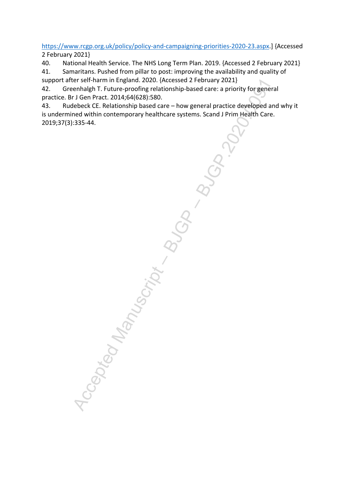<https://www.rcgp.org.uk/policy/policy-and-campaigning-priorities-2020-23.aspx>.] {Accessed 2 February 2021}

40. National Health Service. The NHS Long Term Plan. 2019. {Accessed 2 February 2021}

41. Samaritans. Pushed from pillar to post: improving the availability and quality of support after self-harm in England. 2020. {Accessed 2 February 2021}

42. Greenhalgh T. Future-proofing relationship-based care: a priority for general practice. Br J Gen Pract. 2014;64(628):580.

43. Rudebeck CE. Relationship based care – how general practice developed and why it is undermined within contemporary healthcare systems. Scand J Prim Health Care. 2019;37(3):335-44.

Accepted Manuscript – Reported Manuscript – Reported Manuscript – Reported Manuscript – Reported Manuscript – Reported Manuscript – Reported Manuscript – Reported Manuscript – Reported Manuscript – Reported Manuscript – Re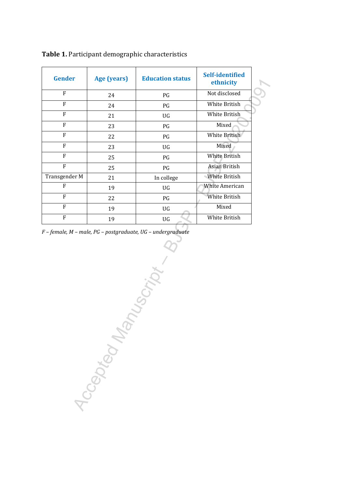| <b>Gender</b>  | Age (years)  | <b>Education status</b> | <b>Self-identified</b><br>ethnicity |
|----------------|--------------|-------------------------|-------------------------------------|
| $\overline{F}$ | 24           | PG                      | Not disclosed                       |
| $\overline{F}$ | 24           | PG                      | White British                       |
| ${\bf F}$      | 21           | UG                      | White British                       |
| ${\bf F}$      | 23           | PG                      | Mixed                               |
| $\overline{F}$ | 22           | PG                      | White British                       |
| ${\bf F}$      | 23           | UG                      | Mixed                               |
| $\mathbf{F}$   | 25           | PG                      | White British                       |
| $\overline{F}$ | 25           | $\mathbf{P}\mathbf{G}$  | Asian British                       |
| Transgender M  | 21           | In college              | White British                       |
| ${\bf F}$      | 19           | UG                      | White American                      |
| ${\bf F}$      | 22           | PG                      | White British                       |
| ${\bf F}$      | 19           | UG                      | Mixed                               |
| ${\bf F}$      | 19           | UG                      | White British                       |
|                |              | $\hat{C}$               |                                     |
|                | Accepted May |                         |                                     |

**Table 1.** Participant demographic characteristics